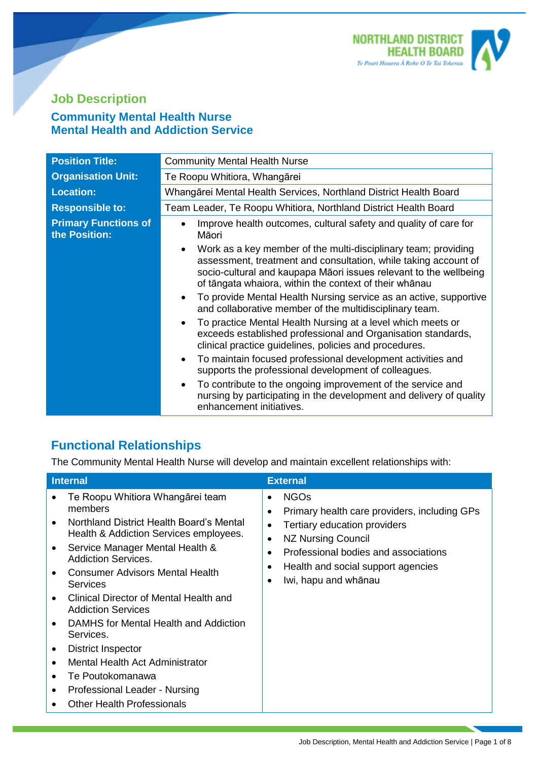

## **Job Description Community Mental Health Nurse Mental Health and Addiction Service**

| <b>Position Title:</b>                       | <b>Community Mental Health Nurse</b>                                                                                                                                                                                                                             |  |
|----------------------------------------------|------------------------------------------------------------------------------------------------------------------------------------------------------------------------------------------------------------------------------------------------------------------|--|
| <b>Organisation Unit:</b>                    | Te Roopu Whitiora, Whangārei                                                                                                                                                                                                                                     |  |
| <b>Location:</b>                             | Whangārei Mental Health Services, Northland District Health Board                                                                                                                                                                                                |  |
| <b>Responsible to:</b>                       | Team Leader, Te Roopu Whitiora, Northland District Health Board                                                                                                                                                                                                  |  |
| <b>Primary Functions of</b><br>the Position: | Improve health outcomes, cultural safety and quality of care for<br>$\bullet$<br>Māori                                                                                                                                                                           |  |
|                                              | Work as a key member of the multi-disciplinary team; providing<br>assessment, treatment and consultation, while taking account of<br>socio-cultural and kaupapa Māori issues relevant to the wellbeing<br>of tāngata whaiora, within the context of their whānau |  |
|                                              | To provide Mental Health Nursing service as an active, supportive<br>$\bullet$<br>and collaborative member of the multidisciplinary team.                                                                                                                        |  |
|                                              | To practice Mental Health Nursing at a level which meets or<br>$\bullet$<br>exceeds established professional and Organisation standards,<br>clinical practice guidelines, policies and procedures.                                                               |  |
|                                              | To maintain focused professional development activities and<br>$\bullet$<br>supports the professional development of colleagues.                                                                                                                                 |  |
|                                              | To contribute to the ongoing improvement of the service and<br>$\bullet$<br>nursing by participating in the development and delivery of quality<br>enhancement initiatives.                                                                                      |  |

# **Functional Relationships**

The Community Mental Health Nurse will develop and maintain excellent relationships with:

| <b>Internal</b>                                                                                                                                                                                                                                                                                                                                                                                                                                                                                                                                                                 | <b>External</b>                                                                                                                                                                                                                                   |
|---------------------------------------------------------------------------------------------------------------------------------------------------------------------------------------------------------------------------------------------------------------------------------------------------------------------------------------------------------------------------------------------------------------------------------------------------------------------------------------------------------------------------------------------------------------------------------|---------------------------------------------------------------------------------------------------------------------------------------------------------------------------------------------------------------------------------------------------|
| Te Roopu Whitiora Whangārei team<br>members<br>Northland District Health Board's Mental<br>Health & Addiction Services employees.<br>Service Manager Mental Health &<br><b>Addiction Services.</b><br><b>Consumer Advisors Mental Health</b><br>Services<br>Clinical Director of Mental Health and<br><b>Addiction Services</b><br>DAMHS for Mental Health and Addiction<br>Services.<br>District Inspector<br>$\bullet$<br>Mental Health Act Administrator<br>Te Poutokomanawa<br>$\bullet$<br>Professional Leader - Nursing<br>$\bullet$<br><b>Other Health Professionals</b> | <b>NGOs</b><br>Primary health care providers, including GPs<br>Tertiary education providers<br>NZ Nursing Council<br>$\bullet$<br>Professional bodies and associations<br>$\bullet$<br>Health and social support agencies<br>Iwi, hapu and whānau |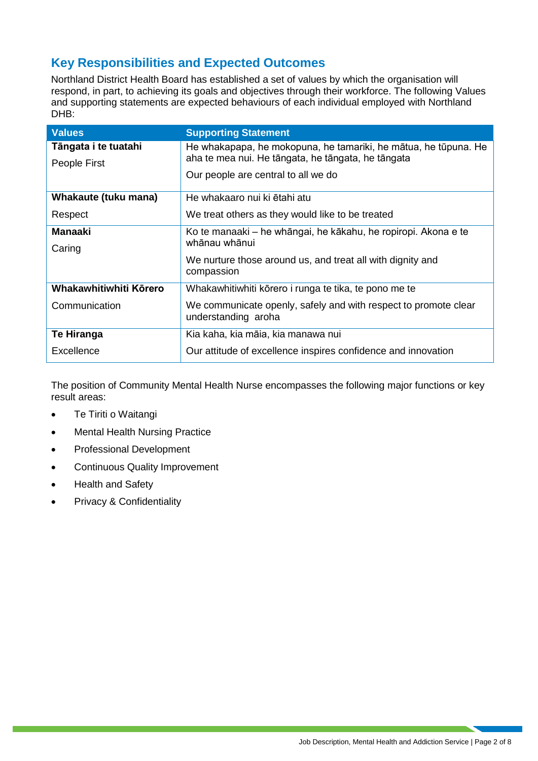### **Key Responsibilities and Expected Outcomes**

Northland District Health Board has established a set of values by which the organisation will respond, in part, to achieving its goals and objectives through their workforce. The following Values and supporting statements are expected behaviours of each individual employed with Northland DHB:

| <b>Values</b>          | <b>Supporting Statement</b>                                                            |
|------------------------|----------------------------------------------------------------------------------------|
| Tāngata i te tuatahi   | He whakapapa, he mokopuna, he tamariki, he mātua, he tūpuna. He                        |
| People First           | aha te mea nui. He tāngata, he tāngata, he tāngata                                     |
|                        | Our people are central to all we do                                                    |
| Whakaute (tuku mana)   | He whakaaro nui ki ētahi atu                                                           |
| Respect                | We treat others as they would like to be treated                                       |
| <b>Manaaki</b>         | Ko te manaaki – he whāngai, he kākahu, he ropiropi. Akona e te                         |
| Caring                 | whānau whānui                                                                          |
|                        | We nurture those around us, and treat all with dignity and<br>compassion               |
| Whakawhitiwhiti Körero | Whakawhitiwhiti kōrero i runga te tika, te pono me te                                  |
| Communication          | We communicate openly, safely and with respect to promote clear<br>understanding aroha |
| Te Hiranga             | Kia kaha, kia māia, kia manawa nui                                                     |
| Excellence             | Our attitude of excellence inspires confidence and innovation                          |

The position of Community Mental Health Nurse encompasses the following major functions or key result areas:

- Te Tiriti o Waitangi
- Mental Health Nursing Practice
- Professional Development
- Continuous Quality Improvement
- Health and Safety
- Privacy & Confidentiality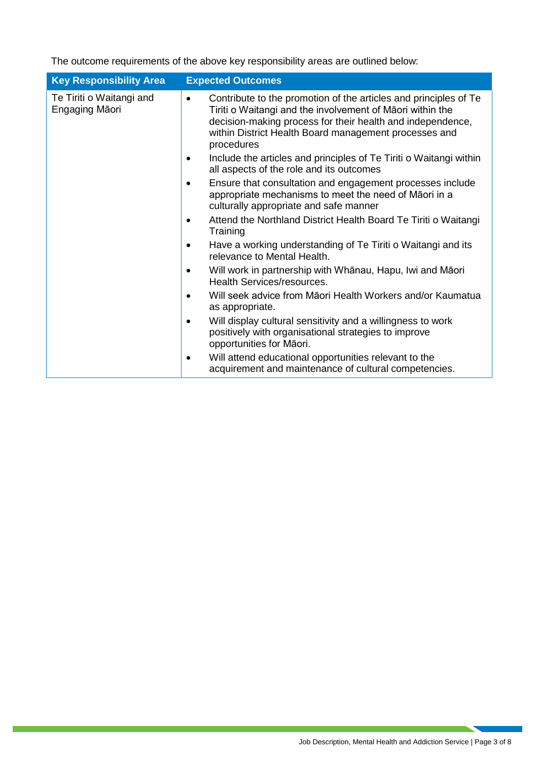The outcome requirements of the above key responsibility areas are outlined below:

| <b>Key Responsibility Area</b>             | <b>Expected Outcomes</b>                                                                                                                                                                                                                                                        |
|--------------------------------------------|---------------------------------------------------------------------------------------------------------------------------------------------------------------------------------------------------------------------------------------------------------------------------------|
| Te Tiriti o Waitangi and<br>Engaging Māori | Contribute to the promotion of the articles and principles of Te<br>$\bullet$<br>Tiriti o Waitangi and the involvement of Māori within the<br>decision-making process for their health and independence,<br>within District Health Board management processes and<br>procedures |
|                                            | Include the articles and principles of Te Tiriti o Waitangi within<br>all aspects of the role and its outcomes                                                                                                                                                                  |
|                                            | Ensure that consultation and engagement processes include<br>٠<br>appropriate mechanisms to meet the need of Māori in a<br>culturally appropriate and safe manner                                                                                                               |
|                                            | Attend the Northland District Health Board Te Tiriti o Waitangi<br>Training                                                                                                                                                                                                     |
|                                            | Have a working understanding of Te Tiriti o Waitangi and its<br>relevance to Mental Health.                                                                                                                                                                                     |
|                                            | Will work in partnership with Whānau, Hapu, Iwi and Māori<br>Health Services/resources.                                                                                                                                                                                         |
|                                            | Will seek advice from Māori Health Workers and/or Kaumatua<br>as appropriate.                                                                                                                                                                                                   |
|                                            | Will display cultural sensitivity and a willingness to work<br>$\bullet$<br>positively with organisational strategies to improve<br>opportunities for Māori.                                                                                                                    |
|                                            | Will attend educational opportunities relevant to the<br>٠<br>acquirement and maintenance of cultural competencies.                                                                                                                                                             |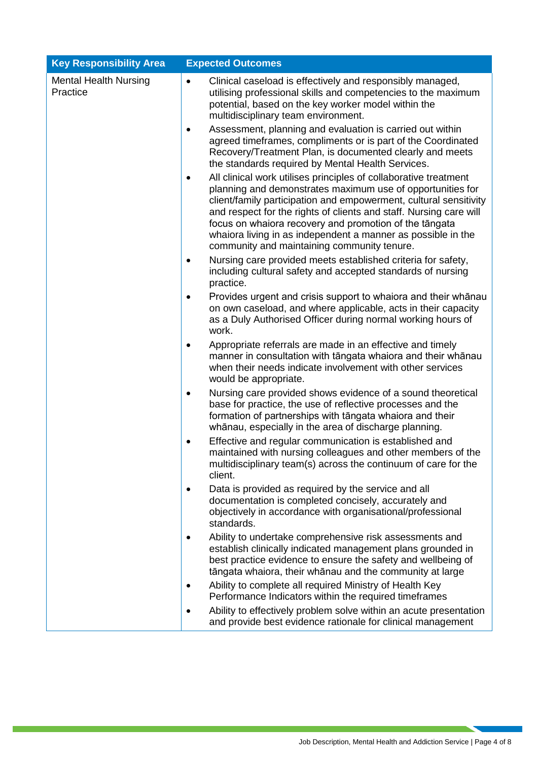| <b>Key Responsibility Area</b>           | <b>Expected Outcomes</b>                                                                                                                                                                                                                                                                                                                                                                                                                                        |  |  |  |
|------------------------------------------|-----------------------------------------------------------------------------------------------------------------------------------------------------------------------------------------------------------------------------------------------------------------------------------------------------------------------------------------------------------------------------------------------------------------------------------------------------------------|--|--|--|
| <b>Mental Health Nursing</b><br>Practice | Clinical caseload is effectively and responsibly managed,<br>$\bullet$<br>utilising professional skills and competencies to the maximum<br>potential, based on the key worker model within the<br>multidisciplinary team environment.                                                                                                                                                                                                                           |  |  |  |
|                                          | Assessment, planning and evaluation is carried out within<br>$\bullet$<br>agreed timeframes, compliments or is part of the Coordinated<br>Recovery/Treatment Plan, is documented clearly and meets<br>the standards required by Mental Health Services.                                                                                                                                                                                                         |  |  |  |
|                                          | All clinical work utilises principles of collaborative treatment<br>$\bullet$<br>planning and demonstrates maximum use of opportunities for<br>client/family participation and empowerment, cultural sensitivity<br>and respect for the rights of clients and staff. Nursing care will<br>focus on whaiora recovery and promotion of the tāngata<br>whaiora living in as independent a manner as possible in the<br>community and maintaining community tenure. |  |  |  |
|                                          | Nursing care provided meets established criteria for safety,<br>$\bullet$<br>including cultural safety and accepted standards of nursing<br>practice.                                                                                                                                                                                                                                                                                                           |  |  |  |
|                                          | Provides urgent and crisis support to whaiora and their whanau<br>٠<br>on own caseload, and where applicable, acts in their capacity<br>as a Duly Authorised Officer during normal working hours of<br>work.                                                                                                                                                                                                                                                    |  |  |  |
|                                          | Appropriate referrals are made in an effective and timely<br>٠<br>manner in consultation with tāngata whaiora and their whānau<br>when their needs indicate involvement with other services<br>would be appropriate.                                                                                                                                                                                                                                            |  |  |  |
|                                          | Nursing care provided shows evidence of a sound theoretical<br>$\bullet$<br>base for practice, the use of reflective processes and the<br>formation of partnerships with tāngata whaiora and their<br>whānau, especially in the area of discharge planning.                                                                                                                                                                                                     |  |  |  |
|                                          | Effective and regular communication is established and<br>$\bullet$<br>maintained with nursing colleagues and other members of the<br>multidisciplinary team(s) across the continuum of care for the<br>client.                                                                                                                                                                                                                                                 |  |  |  |
|                                          | Data is provided as required by the service and all<br>$\bullet$<br>documentation is completed concisely, accurately and<br>objectively in accordance with organisational/professional<br>standards.                                                                                                                                                                                                                                                            |  |  |  |
|                                          | Ability to undertake comprehensive risk assessments and<br>$\bullet$<br>establish clinically indicated management plans grounded in<br>best practice evidence to ensure the safety and wellbeing of<br>tāngata whaiora, their whānau and the community at large                                                                                                                                                                                                 |  |  |  |
|                                          | Ability to complete all required Ministry of Health Key<br>٠<br>Performance Indicators within the required timeframes                                                                                                                                                                                                                                                                                                                                           |  |  |  |
|                                          | Ability to effectively problem solve within an acute presentation<br>and provide best evidence rationale for clinical management                                                                                                                                                                                                                                                                                                                                |  |  |  |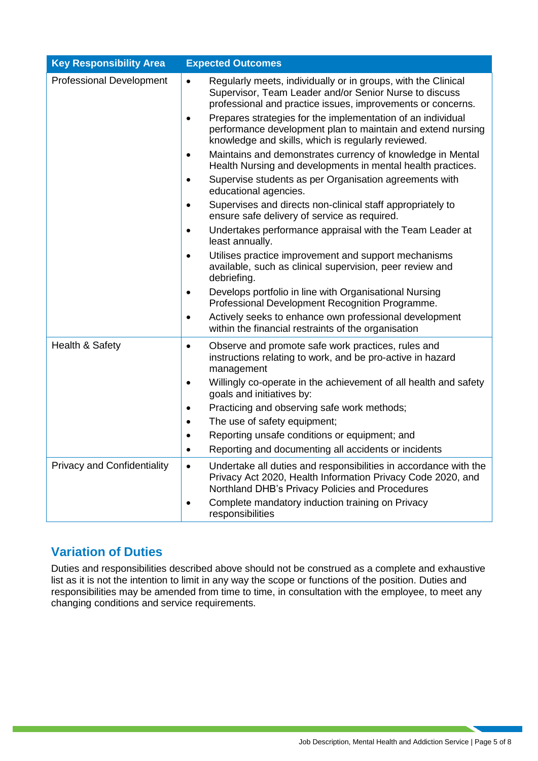| <b>Key Responsibility Area</b>     | <b>Expected Outcomes</b>                                                                                                                                                                                                                                                                                                                                                                                                                                                                                                                                                                                                                                                                                                                                                                                                                                                                                                                                                                                                                                                                     |
|------------------------------------|----------------------------------------------------------------------------------------------------------------------------------------------------------------------------------------------------------------------------------------------------------------------------------------------------------------------------------------------------------------------------------------------------------------------------------------------------------------------------------------------------------------------------------------------------------------------------------------------------------------------------------------------------------------------------------------------------------------------------------------------------------------------------------------------------------------------------------------------------------------------------------------------------------------------------------------------------------------------------------------------------------------------------------------------------------------------------------------------|
| <b>Professional Development</b>    | Regularly meets, individually or in groups, with the Clinical<br>$\bullet$<br>Supervisor, Team Leader and/or Senior Nurse to discuss<br>professional and practice issues, improvements or concerns.<br>Prepares strategies for the implementation of an individual<br>$\bullet$<br>performance development plan to maintain and extend nursing<br>knowledge and skills, which is regularly reviewed.<br>Maintains and demonstrates currency of knowledge in Mental<br>$\bullet$<br>Health Nursing and developments in mental health practices.<br>Supervise students as per Organisation agreements with<br>$\bullet$<br>educational agencies.<br>Supervises and directs non-clinical staff appropriately to<br>$\bullet$<br>ensure safe delivery of service as required.<br>Undertakes performance appraisal with the Team Leader at<br>$\bullet$<br>least annually.<br>Utilises practice improvement and support mechanisms<br>$\bullet$<br>available, such as clinical supervision, peer review and<br>debriefing.<br>Develops portfolio in line with Organisational Nursing<br>$\bullet$ |
|                                    | Professional Development Recognition Programme.<br>Actively seeks to enhance own professional development<br>$\bullet$<br>within the financial restraints of the organisation                                                                                                                                                                                                                                                                                                                                                                                                                                                                                                                                                                                                                                                                                                                                                                                                                                                                                                                |
| Health & Safety                    | Observe and promote safe work practices, rules and<br>$\bullet$<br>instructions relating to work, and be pro-active in hazard<br>management<br>Willingly co-operate in the achievement of all health and safety<br>$\bullet$<br>goals and initiatives by:<br>Practicing and observing safe work methods;<br>$\bullet$<br>The use of safety equipment;<br>$\bullet$<br>Reporting unsafe conditions or equipment; and<br>$\bullet$<br>Reporting and documenting all accidents or incidents<br>$\bullet$                                                                                                                                                                                                                                                                                                                                                                                                                                                                                                                                                                                        |
| <b>Privacy and Confidentiality</b> | Undertake all duties and responsibilities in accordance with the<br>$\bullet$<br>Privacy Act 2020, Health Information Privacy Code 2020, and<br>Northland DHB's Privacy Policies and Procedures<br>Complete mandatory induction training on Privacy<br>responsibilities                                                                                                                                                                                                                                                                                                                                                                                                                                                                                                                                                                                                                                                                                                                                                                                                                      |

### **Variation of Duties**

Duties and responsibilities described above should not be construed as a complete and exhaustive list as it is not the intention to limit in any way the scope or functions of the position. Duties and responsibilities may be amended from time to time, in consultation with the employee, to meet any changing conditions and service requirements.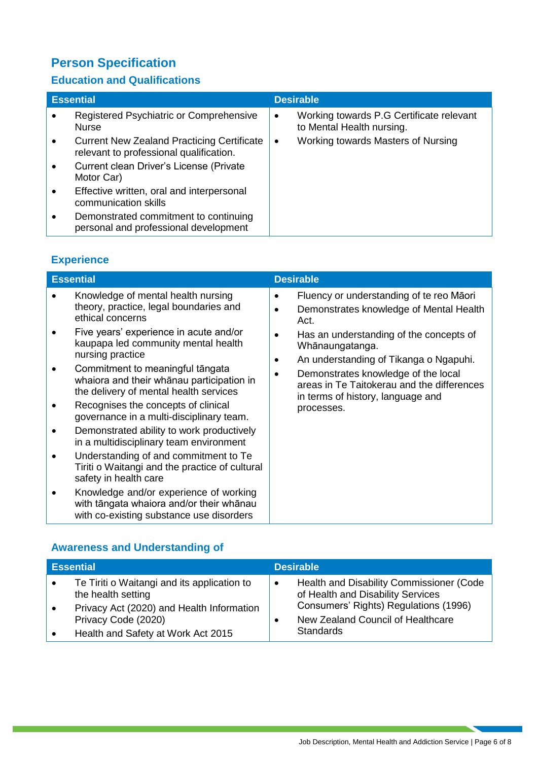# **Person Specification**

### **Education and Qualifications**

| <b>Essential</b>                                                                             |           | <b>Desirable</b>                                                      |
|----------------------------------------------------------------------------------------------|-----------|-----------------------------------------------------------------------|
| Registered Psychiatric or Comprehensive<br><b>Nurse</b>                                      | $\bullet$ | Working towards P.G Certificate relevant<br>to Mental Health nursing. |
| <b>Current New Zealand Practicing Certificate</b><br>relevant to professional qualification. | $\bullet$ | Working towards Masters of Nursing                                    |
| Current clean Driver's License (Private<br>Motor Car)                                        |           |                                                                       |
| Effective written, oral and interpersonal<br>communication skills                            |           |                                                                       |
| Demonstrated commitment to continuing<br>personal and professional development               |           |                                                                       |

# **Experience**

| Knowledge of mental health nursing<br>Fluency or understanding of te reo Māori<br>٠<br>theory, practice, legal boundaries and<br>Demonstrates knowledge of Mental Health<br>$\bullet$<br>ethical concerns<br>Act.<br>Five years' experience in acute and/or<br>Has an understanding of the concepts of<br>٠<br>kaupapa led community mental health<br>Whānaungatanga.<br>nursing practice<br>An understanding of Tikanga o Ngapuhi.<br>٠<br>Commitment to meaningful tāngata<br>Demonstrates knowledge of the local<br>whaiora and their whanau participation in<br>areas in Te Taitokerau and the differences<br>the delivery of mental health services<br>in terms of history, language and<br>Recognises the concepts of clinical<br>processes.<br>governance in a multi-disciplinary team.<br>Demonstrated ability to work productively<br>in a multidisciplinary team environment<br>Understanding of and commitment to Te<br>Tiriti o Waitangi and the practice of cultural<br>safety in health care<br>Knowledge and/or experience of working<br>with tāngata whaiora and/or their whānau | <b>Essential</b> |  | <b>Desirable</b> |  |
|--------------------------------------------------------------------------------------------------------------------------------------------------------------------------------------------------------------------------------------------------------------------------------------------------------------------------------------------------------------------------------------------------------------------------------------------------------------------------------------------------------------------------------------------------------------------------------------------------------------------------------------------------------------------------------------------------------------------------------------------------------------------------------------------------------------------------------------------------------------------------------------------------------------------------------------------------------------------------------------------------------------------------------------------------------------------------------------------------|------------------|--|------------------|--|
|                                                                                                                                                                                                                                                                                                                                                                                                                                                                                                                                                                                                                                                                                                                                                                                                                                                                                                                                                                                                                                                                                                  |                  |  |                  |  |
| with co-existing substance use disorders                                                                                                                                                                                                                                                                                                                                                                                                                                                                                                                                                                                                                                                                                                                                                                                                                                                                                                                                                                                                                                                         |                  |  |                  |  |

### **Awareness and Understanding of**

| <b>Essential</b>                                                  |           | <b>Desirable</b>                                                              |
|-------------------------------------------------------------------|-----------|-------------------------------------------------------------------------------|
| Te Tiriti o Waitangi and its application to<br>the health setting | $\bullet$ | Health and Disability Commissioner (Code<br>of Health and Disability Services |
| Privacy Act (2020) and Health Information<br>Privacy Code (2020)  |           | Consumers' Rights) Regulations (1996)<br>New Zealand Council of Healthcare    |
| Health and Safety at Work Act 2015                                |           | <b>Standards</b>                                                              |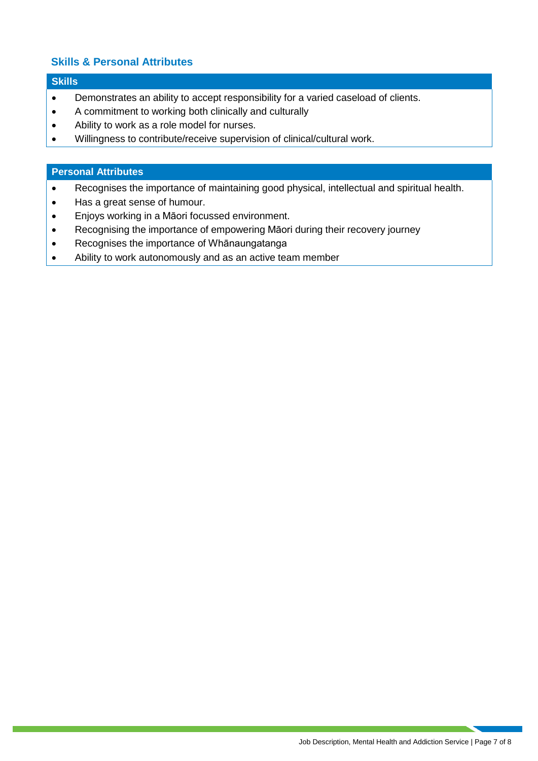#### **Skills & Personal Attributes**

#### **Skills**

- Demonstrates an ability to accept responsibility for a varied caseload of clients.
- A commitment to working both clinically and culturally
- Ability to work as a role model for nurses.
- Willingness to contribute/receive supervision of clinical/cultural work.

#### **Personal Attributes**

- Recognises the importance of maintaining good physical, intellectual and spiritual health.
- Has a great sense of humour.
- Enjoys working in a Māori focussed environment.
- Recognising the importance of empowering Māori during their recovery journey
- Recognises the importance of Whānaungatanga
- Ability to work autonomously and as an active team member